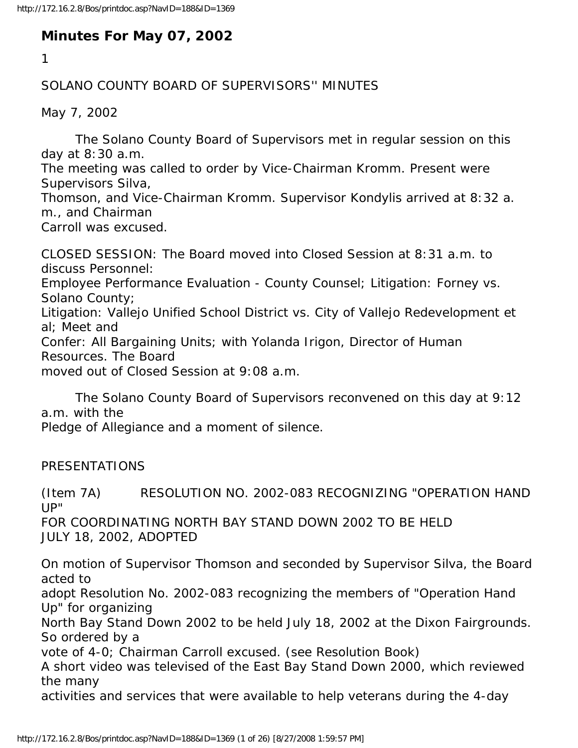## **Minutes For May 07, 2002**

1

## SOLANO COUNTY BOARD OF SUPERVISORS'' MINUTES

May 7, 2002

 The Solano County Board of Supervisors met in regular session on this day at 8:30 a.m.

The meeting was called to order by Vice-Chairman Kromm. Present were Supervisors Silva,

Thomson, and Vice-Chairman Kromm. Supervisor Kondylis arrived at 8:32 a. m., and Chairman

Carroll was excused.

CLOSED SESSION: The Board moved into Closed Session at 8:31 a.m. to discuss Personnel: Employee Performance Evaluation - County Counsel; Litigation: Forney vs. Solano County; Litigation: Vallejo Unified School District vs. City of Vallejo Redevelopment et al; Meet and Confer: All Bargaining Units; with Yolanda Irigon, Director of Human Resources. The Board moved out of Closed Session at 9:08 a.m.

 The Solano County Board of Supervisors reconvened on this day at 9:12 a.m. with the

Pledge of Allegiance and a moment of silence.

PRESENTATIONS

(Item 7A) RESOLUTION NO. 2002-083 RECOGNIZING "OPERATION HAND UP" FOR COORDINATING NORTH BAY STAND DOWN 2002 TO BE HELD JULY 18, 2002, ADOPTED

On motion of Supervisor Thomson and seconded by Supervisor Silva, the Board acted to adopt Resolution No. 2002-083 recognizing the members of "Operation Hand Up" for organizing

North Bay Stand Down 2002 to be held July 18, 2002 at the Dixon Fairgrounds. So ordered by a

vote of 4-0; Chairman Carroll excused. (see Resolution Book)

A short video was televised of the East Bay Stand Down 2000, which reviewed the many

activities and services that were available to help veterans during the 4-day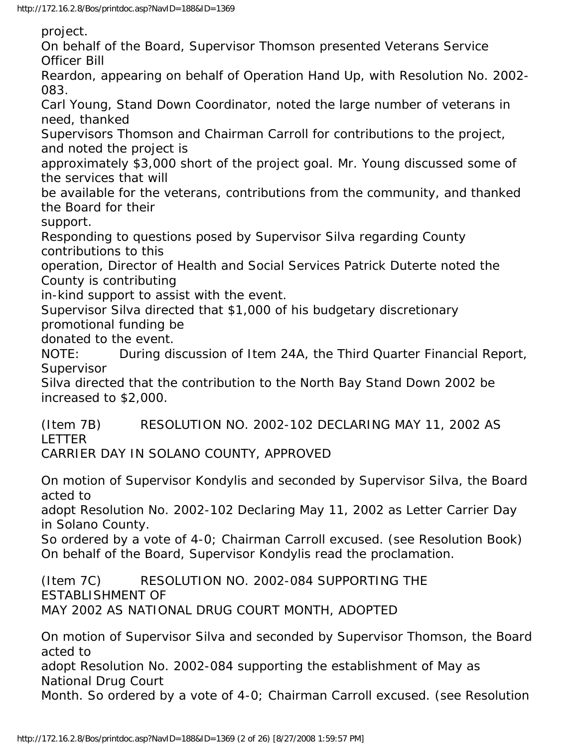project.

On behalf of the Board, Supervisor Thomson presented Veterans Service Officer Bill

Reardon, appearing on behalf of Operation Hand Up, with Resolution No. 2002- 083.

Carl Young, Stand Down Coordinator, noted the large number of veterans in need, thanked

Supervisors Thomson and Chairman Carroll for contributions to the project, and noted the project is

approximately \$3,000 short of the project goal. Mr. Young discussed some of the services that will

be available for the veterans, contributions from the community, and thanked the Board for their

support.

Responding to questions posed by Supervisor Silva regarding County contributions to this

operation, Director of Health and Social Services Patrick Duterte noted the County is contributing

in-kind support to assist with the event.

Supervisor Silva directed that \$1,000 of his budgetary discretionary promotional funding be

donated to the event.

NOTE: During discussion of Item 24A, the Third Quarter Financial Report, Supervisor

Silva directed that the contribution to the North Bay Stand Down 2002 be increased to \$2,000.

(Item 7B) RESOLUTION NO. 2002-102 DECLARING MAY 11, 2002 AS LETTER

CARRIER DAY IN SOLANO COUNTY, APPROVED

On motion of Supervisor Kondylis and seconded by Supervisor Silva, the Board acted to

adopt Resolution No. 2002-102 Declaring May 11, 2002 as Letter Carrier Day in Solano County.

So ordered by a vote of 4-0; Chairman Carroll excused. (see Resolution Book) On behalf of the Board, Supervisor Kondylis read the proclamation.

(Item 7C) RESOLUTION NO. 2002-084 SUPPORTING THE ESTABLISHMENT OF MAY 2002 AS NATIONAL DRUG COURT MONTH, ADOPTED

On motion of Supervisor Silva and seconded by Supervisor Thomson, the Board acted to

adopt Resolution No. 2002-084 supporting the establishment of May as National Drug Court

Month. So ordered by a vote of 4-0; Chairman Carroll excused. (see Resolution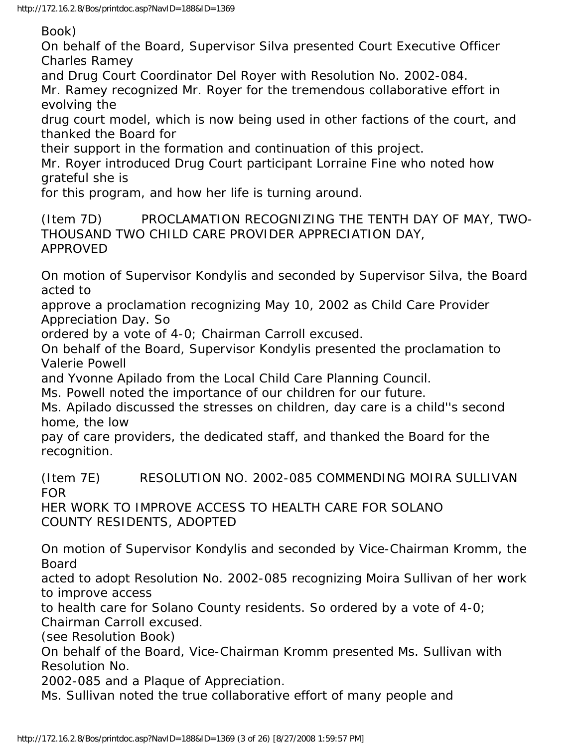Book)

On behalf of the Board, Supervisor Silva presented Court Executive Officer Charles Ramey

and Drug Court Coordinator Del Royer with Resolution No. 2002-084. Mr. Ramey recognized Mr. Royer for the tremendous collaborative effort in evolving the

drug court model, which is now being used in other factions of the court, and thanked the Board for

their support in the formation and continuation of this project.

Mr. Royer introduced Drug Court participant Lorraine Fine who noted how grateful she is

for this program, and how her life is turning around.

(Item 7D) PROCLAMATION RECOGNIZING THE TENTH DAY OF MAY, TWO-THOUSAND TWO CHILD CARE PROVIDER APPRECIATION DAY, APPROVED

On motion of Supervisor Kondylis and seconded by Supervisor Silva, the Board acted to

approve a proclamation recognizing May 10, 2002 as Child Care Provider Appreciation Day. So

ordered by a vote of 4-0; Chairman Carroll excused.

On behalf of the Board, Supervisor Kondylis presented the proclamation to Valerie Powell

and Yvonne Apilado from the Local Child Care Planning Council.

Ms. Powell noted the importance of our children for our future.

Ms. Apilado discussed the stresses on children, day care is a child''s second home, the low

pay of care providers, the dedicated staff, and thanked the Board for the recognition.

(Item 7E) RESOLUTION NO. 2002-085 COMMENDING MOIRA SULLIVAN FOR

HER WORK TO IMPROVE ACCESS TO HEALTH CARE FOR SOLANO COUNTY RESIDENTS, ADOPTED

On motion of Supervisor Kondylis and seconded by Vice-Chairman Kromm, the Board

acted to adopt Resolution No. 2002-085 recognizing Moira Sullivan of her work to improve access

to health care for Solano County residents. So ordered by a vote of 4-0;

Chairman Carroll excused.

(see Resolution Book)

On behalf of the Board, Vice-Chairman Kromm presented Ms. Sullivan with Resolution No.

2002-085 and a Plaque of Appreciation.

Ms. Sullivan noted the true collaborative effort of many people and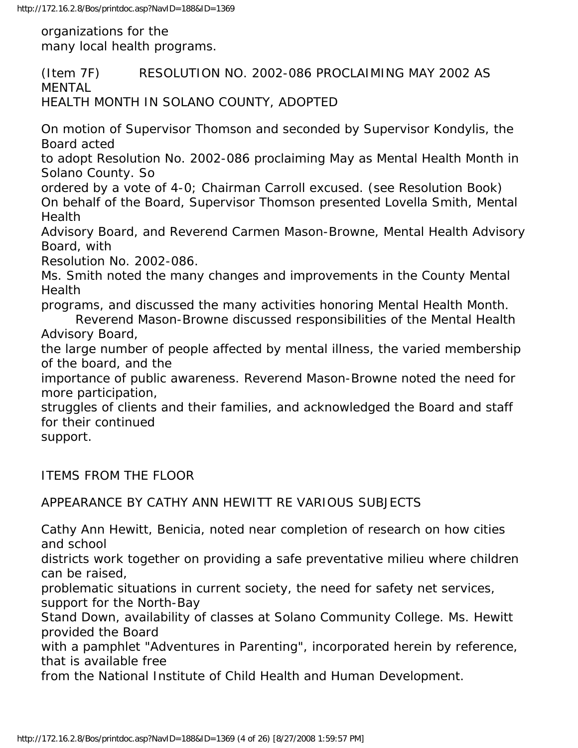organizations for the many local health programs.

(Item 7F) RESOLUTION NO. 2002-086 PROCLAIMING MAY 2002 AS MENTAL HEALTH MONTH IN SOLANO COUNTY, ADOPTED On motion of Supervisor Thomson and seconded by Supervisor Kondylis, the Board acted to adopt Resolution No. 2002-086 proclaiming May as Mental Health Month in Solano County. So ordered by a vote of 4-0; Chairman Carroll excused. (see Resolution Book) On behalf of the Board, Supervisor Thomson presented Lovella Smith, Mental Health Advisory Board, and Reverend Carmen Mason-Browne, Mental Health Advisory Board, with Resolution No. 2002-086. Ms. Smith noted the many changes and improvements in the County Mental **Health** programs, and discussed the many activities honoring Mental Health Month. Reverend Mason-Browne discussed responsibilities of the Mental Health Advisory Board, the large number of people affected by mental illness, the varied membership of the board, and the importance of public awareness. Reverend Mason-Browne noted the need for more participation, struggles of clients and their families, and acknowledged the Board and staff for their continued support. ITEMS FROM THE FLOOR APPEARANCE BY CATHY ANN HEWITT RE VARIOUS SUBJECTS

Cathy Ann Hewitt, Benicia, noted near completion of research on how cities and school

districts work together on providing a safe preventative milieu where children can be raised,

problematic situations in current society, the need for safety net services, support for the North-Bay

Stand Down, availability of classes at Solano Community College. Ms. Hewitt provided the Board

with a pamphlet "Adventures in Parenting", incorporated herein by reference, that is available free

from the National Institute of Child Health and Human Development.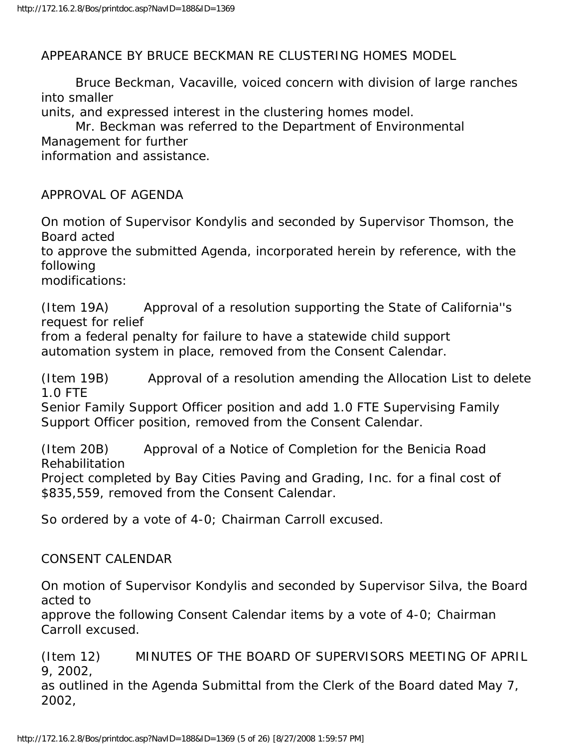APPEARANCE BY BRUCE BECKMAN RE CLUSTERING HOMES MODEL

 Bruce Beckman, Vacaville, voiced concern with division of large ranches into smaller

units, and expressed interest in the clustering homes model.

 Mr. Beckman was referred to the Department of Environmental Management for further information and assistance.

APPROVAL OF AGENDA

On motion of Supervisor Kondylis and seconded by Supervisor Thomson, the Board acted

to approve the submitted Agenda, incorporated herein by reference, with the following

modifications:

(Item 19A) Approval of a resolution supporting the State of California''s request for relief

from a federal penalty for failure to have a statewide child support automation system in place, removed from the Consent Calendar.

(Item 19B) Approval of a resolution amending the Allocation List to delete 1.0 FTE

Senior Family Support Officer position and add 1.0 FTE Supervising Family Support Officer position, removed from the Consent Calendar.

(Item 20B) Approval of a Notice of Completion for the Benicia Road Rehabilitation

Project completed by Bay Cities Paving and Grading, Inc. for a final cost of \$835,559, removed from the Consent Calendar.

So ordered by a vote of 4-0; Chairman Carroll excused.

## CONSENT CALENDAR

On motion of Supervisor Kondylis and seconded by Supervisor Silva, the Board acted to

approve the following Consent Calendar items by a vote of 4-0; Chairman Carroll excused.

(Item 12) MINUTES OF THE BOARD OF SUPERVISORS MEETING OF APRIL 9, 2002,

as outlined in the Agenda Submittal from the Clerk of the Board dated May 7, 2002,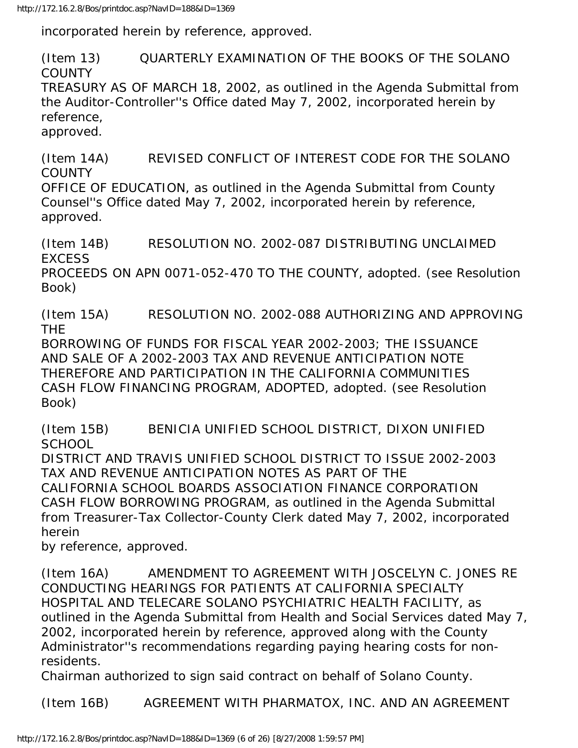incorporated herein by reference, approved.

(Item 13) QUARTERLY EXAMINATION OF THE BOOKS OF THE SOLANO **COUNTY** 

TREASURY AS OF MARCH 18, 2002, as outlined in the Agenda Submittal from the Auditor-Controller''s Office dated May 7, 2002, incorporated herein by reference,

approved.

(Item 14A) REVISED CONFLICT OF INTEREST CODE FOR THE SOLANO **COUNTY** 

OFFICE OF EDUCATION, as outlined in the Agenda Submittal from County Counsel''s Office dated May 7, 2002, incorporated herein by reference, approved.

(Item 14B) RESOLUTION NO. 2002-087 DISTRIBUTING UNCLAIMED **EXCESS** PROCEEDS ON APN 0071-052-470 TO THE COUNTY, adopted. (see Resolution Book)

(Item 15A) RESOLUTION NO. 2002-088 AUTHORIZING AND APPROVING THE

BORROWING OF FUNDS FOR FISCAL YEAR 2002-2003; THE ISSUANCE AND SALE OF A 2002-2003 TAX AND REVENUE ANTICIPATION NOTE THEREFORE AND PARTICIPATION IN THE CALIFORNIA COMMUNITIES CASH FLOW FINANCING PROGRAM, ADOPTED, adopted. (see Resolution Book)

(Item 15B) BENICIA UNIFIED SCHOOL DISTRICT, DIXON UNIFIED **SCHOOL** 

DISTRICT AND TRAVIS UNIFIED SCHOOL DISTRICT TO ISSUE 2002-2003 TAX AND REVENUE ANTICIPATION NOTES AS PART OF THE CALIFORNIA SCHOOL BOARDS ASSOCIATION FINANCE CORPORATION CASH FLOW BORROWING PROGRAM, as outlined in the Agenda Submittal from Treasurer-Tax Collector-County Clerk dated May 7, 2002, incorporated herein

by reference, approved.

(Item 16A) AMENDMENT TO AGREEMENT WITH JOSCELYN C. JONES RE CONDUCTING HEARINGS FOR PATIENTS AT CALIFORNIA SPECIALTY HOSPITAL AND TELECARE SOLANO PSYCHIATRIC HEALTH FACILITY, as outlined in the Agenda Submittal from Health and Social Services dated May 7, 2002, incorporated herein by reference, approved along with the County Administrator''s recommendations regarding paying hearing costs for nonresidents.

Chairman authorized to sign said contract on behalf of Solano County.

(Item 16B) AGREEMENT WITH PHARMATOX, INC. AND AN AGREEMENT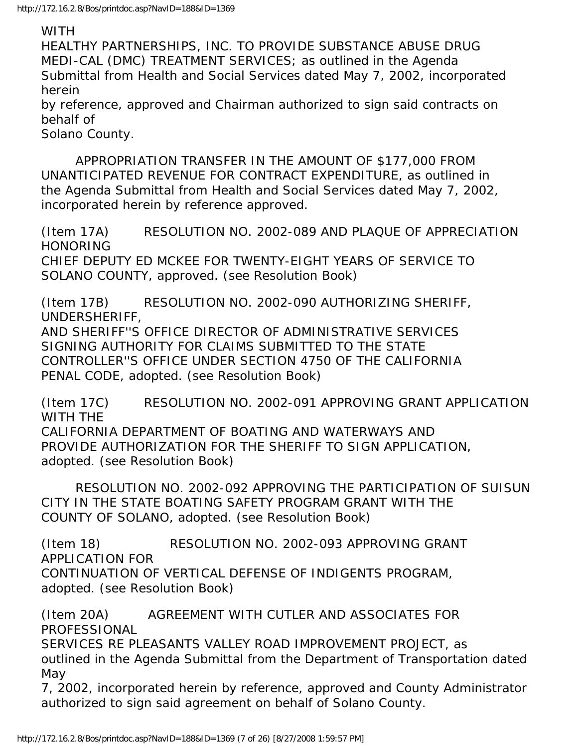## WITH

HEALTHY PARTNERSHIPS, INC. TO PROVIDE SUBSTANCE ABUSE DRUG MEDI-CAL (DMC) TREATMENT SERVICES; as outlined in the Agenda Submittal from Health and Social Services dated May 7, 2002, incorporated herein

by reference, approved and Chairman authorized to sign said contracts on behalf of

Solano County.

 APPROPRIATION TRANSFER IN THE AMOUNT OF \$177,000 FROM UNANTICIPATED REVENUE FOR CONTRACT EXPENDITURE, as outlined in the Agenda Submittal from Health and Social Services dated May 7, 2002, incorporated herein by reference approved.

(Item 17A) RESOLUTION NO. 2002-089 AND PLAQUE OF APPRECIATION **HONORING** CHIEF DEPUTY ED MCKEE FOR TWENTY-EIGHT YEARS OF SERVICE TO SOLANO COUNTY, approved. (see Resolution Book)

(Item 17B) RESOLUTION NO. 2002-090 AUTHORIZING SHERIFF, UNDERSHERIFF, AND SHERIFF''S OFFICE DIRECTOR OF ADMINISTRATIVE SERVICES SIGNING AUTHORITY FOR CLAIMS SUBMITTED TO THE STATE

CONTROLLER''S OFFICE UNDER SECTION 4750 OF THE CALIFORNIA PENAL CODE, adopted. (see Resolution Book)

(Item 17C) RESOLUTION NO. 2002-091 APPROVING GRANT APPLICATION WITH THE CALIFORNIA DEPARTMENT OF BOATING AND WATERWAYS AND PROVIDE AUTHORIZATION FOR THE SHERIFF TO SIGN APPLICATION, adopted. (see Resolution Book)

 RESOLUTION NO. 2002-092 APPROVING THE PARTICIPATION OF SUISUN CITY IN THE STATE BOATING SAFETY PROGRAM GRANT WITH THE COUNTY OF SOLANO, adopted. (see Resolution Book)

(Item 18) RESOLUTION NO. 2002-093 APPROVING GRANT APPLICATION FOR CONTINUATION OF VERTICAL DEFENSE OF INDIGENTS PROGRAM, adopted. (see Resolution Book)

(Item 20A) AGREEMENT WITH CUTLER AND ASSOCIATES FOR PROFESSIONAL SERVICES RE PLEASANTS VALLEY ROAD IMPROVEMENT PROJECT, as outlined in the Agenda Submittal from the Department of Transportation dated May

7, 2002, incorporated herein by reference, approved and County Administrator authorized to sign said agreement on behalf of Solano County.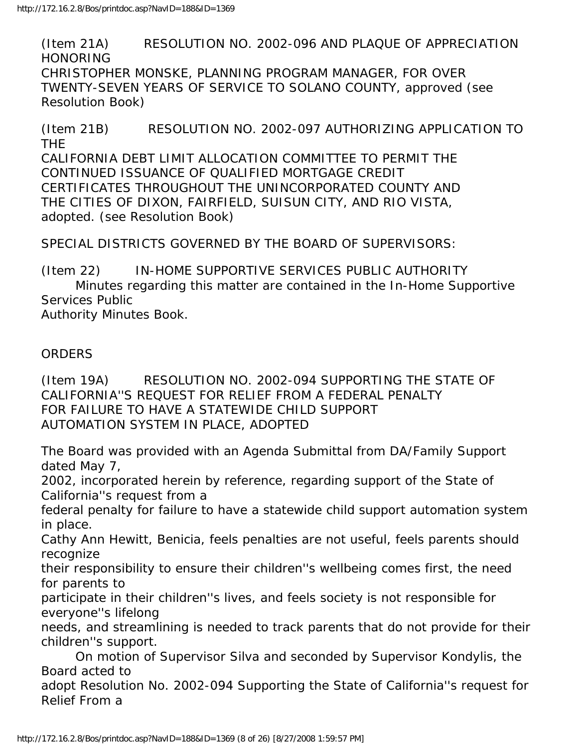(Item 21A) RESOLUTION NO. 2002-096 AND PLAQUE OF APPRECIATION HONORING CHRISTOPHER MONSKE, PLANNING PROGRAM MANAGER, FOR OVER TWENTY-SEVEN YEARS OF SERVICE TO SOLANO COUNTY, approved (see Resolution Book)

(Item 21B) RESOLUTION NO. 2002-097 AUTHORIZING APPLICATION TO THE CALIFORNIA DEBT LIMIT ALLOCATION COMMITTEE TO PERMIT THE CONTINUED ISSUANCE OF QUALIFIED MORTGAGE CREDIT CERTIFICATES THROUGHOUT THE UNINCORPORATED COUNTY AND THE CITIES OF DIXON, FAIRFIELD, SUISUN CITY, AND RIO VISTA, adopted. (see Resolution Book)

SPECIAL DISTRICTS GOVERNED BY THE BOARD OF SUPERVISORS:

(Item 22) IN-HOME SUPPORTIVE SERVICES PUBLIC AUTHORITY Minutes regarding this matter are contained in the In-Home Supportive Services Public Authority Minutes Book.

ORDERS

(Item 19A) RESOLUTION NO. 2002-094 SUPPORTING THE STATE OF CALIFORNIA''S REQUEST FOR RELIEF FROM A FEDERAL PENALTY FOR FAILURE TO HAVE A STATEWIDE CHILD SUPPORT AUTOMATION SYSTEM IN PLACE, ADOPTED

The Board was provided with an Agenda Submittal from DA/Family Support dated May 7,

2002, incorporated herein by reference, regarding support of the State of California''s request from a

federal penalty for failure to have a statewide child support automation system in place.

Cathy Ann Hewitt, Benicia, feels penalties are not useful, feels parents should recognize

their responsibility to ensure their children''s wellbeing comes first, the need for parents to

participate in their children''s lives, and feels society is not responsible for everyone''s lifelong

needs, and streamlining is needed to track parents that do not provide for their children''s support.

 On motion of Supervisor Silva and seconded by Supervisor Kondylis, the Board acted to

adopt Resolution No. 2002-094 Supporting the State of California''s request for Relief From a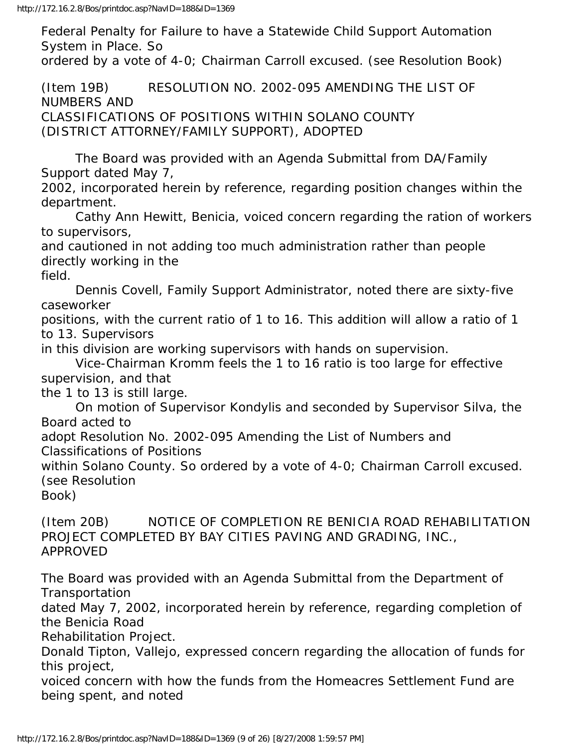Federal Penalty for Failure to have a Statewide Child Support Automation System in Place. So

ordered by a vote of 4-0; Chairman Carroll excused. (see Resolution Book)

(Item 19B) RESOLUTION NO. 2002-095 AMENDING THE LIST OF NUMBERS AND CLASSIFICATIONS OF POSITIONS WITHIN SOLANO COUNTY (DISTRICT ATTORNEY/FAMILY SUPPORT), ADOPTED

 The Board was provided with an Agenda Submittal from DA/Family Support dated May 7,

2002, incorporated herein by reference, regarding position changes within the department.

 Cathy Ann Hewitt, Benicia, voiced concern regarding the ration of workers to supervisors,

and cautioned in not adding too much administration rather than people directly working in the

field.

 Dennis Covell, Family Support Administrator, noted there are sixty-five caseworker

positions, with the current ratio of 1 to 16. This addition will allow a ratio of 1 to 13. Supervisors

in this division are working supervisors with hands on supervision.

 Vice-Chairman Kromm feels the 1 to 16 ratio is too large for effective supervision, and that

the 1 to 13 is still large.

 On motion of Supervisor Kondylis and seconded by Supervisor Silva, the Board acted to

adopt Resolution No. 2002-095 Amending the List of Numbers and Classifications of Positions

within Solano County. So ordered by a vote of 4-0; Chairman Carroll excused. (see Resolution

Book)

(Item 20B) NOTICE OF COMPLETION RE BENICIA ROAD REHABILITATION PROJECT COMPLETED BY BAY CITIES PAVING AND GRADING, INC., APPROVED

The Board was provided with an Agenda Submittal from the Department of Transportation

dated May 7, 2002, incorporated herein by reference, regarding completion of the Benicia Road

Rehabilitation Project.

Donald Tipton, Vallejo, expressed concern regarding the allocation of funds for this project,

voiced concern with how the funds from the Homeacres Settlement Fund are being spent, and noted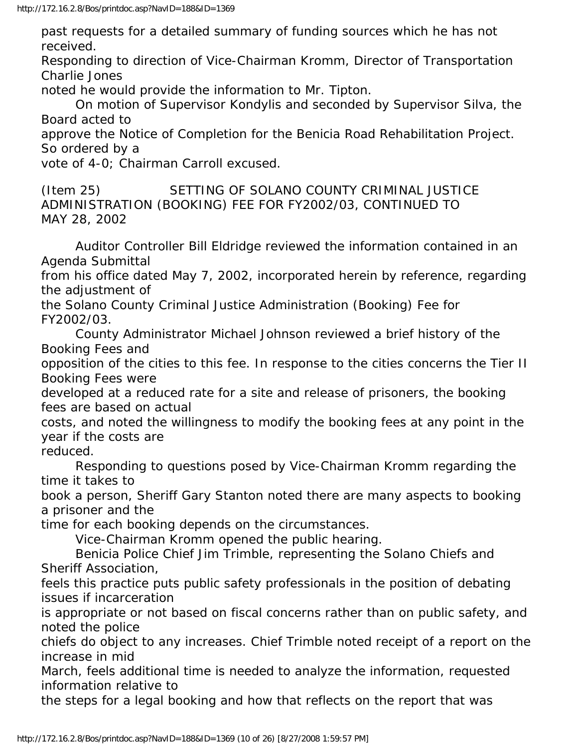past requests for a detailed summary of funding sources which he has not received.

Responding to direction of Vice-Chairman Kromm, Director of Transportation Charlie Jones

noted he would provide the information to Mr. Tipton.

 On motion of Supervisor Kondylis and seconded by Supervisor Silva, the Board acted to

approve the Notice of Completion for the Benicia Road Rehabilitation Project. So ordered by a

vote of 4-0; Chairman Carroll excused.

(Item 25) SETTING OF SOLANO COUNTY CRIMINAL JUSTICE ADMINISTRATION (BOOKING) FEE FOR FY2002/03, CONTINUED TO MAY 28, 2002

 Auditor Controller Bill Eldridge reviewed the information contained in an Agenda Submittal

from his office dated May 7, 2002, incorporated herein by reference, regarding the adjustment of

the Solano County Criminal Justice Administration (Booking) Fee for FY2002/03.

 County Administrator Michael Johnson reviewed a brief history of the Booking Fees and

opposition of the cities to this fee. In response to the cities concerns the Tier II Booking Fees were

developed at a reduced rate for a site and release of prisoners, the booking fees are based on actual

costs, and noted the willingness to modify the booking fees at any point in the year if the costs are

reduced.

 Responding to questions posed by Vice-Chairman Kromm regarding the time it takes to

book a person, Sheriff Gary Stanton noted there are many aspects to booking a prisoner and the

time for each booking depends on the circumstances.

Vice-Chairman Kromm opened the public hearing.

 Benicia Police Chief Jim Trimble, representing the Solano Chiefs and Sheriff Association,

feels this practice puts public safety professionals in the position of debating issues if incarceration

is appropriate or not based on fiscal concerns rather than on public safety, and noted the police

chiefs do object to any increases. Chief Trimble noted receipt of a report on the increase in mid

March, feels additional time is needed to analyze the information, requested information relative to

the steps for a legal booking and how that reflects on the report that was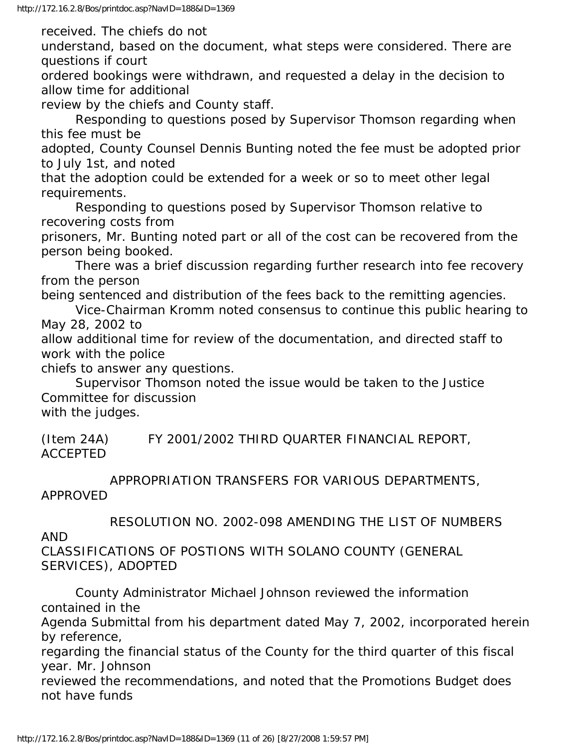received. The chiefs do not

understand, based on the document, what steps were considered. There are questions if court

ordered bookings were withdrawn, and requested a delay in the decision to allow time for additional

review by the chiefs and County staff.

 Responding to questions posed by Supervisor Thomson regarding when this fee must be

adopted, County Counsel Dennis Bunting noted the fee must be adopted prior to July 1st, and noted

that the adoption could be extended for a week or so to meet other legal requirements.

 Responding to questions posed by Supervisor Thomson relative to recovering costs from

prisoners, Mr. Bunting noted part or all of the cost can be recovered from the person being booked.

 There was a brief discussion regarding further research into fee recovery from the person

being sentenced and distribution of the fees back to the remitting agencies.

 Vice-Chairman Kromm noted consensus to continue this public hearing to May 28, 2002 to

allow additional time for review of the documentation, and directed staff to work with the police

chiefs to answer any questions.

 Supervisor Thomson noted the issue would be taken to the Justice Committee for discussion

with the judges.

(Item 24A) FY 2001/2002 THIRD QUARTER FINANCIAL REPORT, ACCEPTED

 APPROPRIATION TRANSFERS FOR VARIOUS DEPARTMENTS, APPROVED

RESOLUTION NO. 2002-098 AMENDING THE LIST OF NUMBERS

AND

CLASSIFICATIONS OF POSTIONS WITH SOLANO COUNTY (GENERAL SERVICES), ADOPTED

 County Administrator Michael Johnson reviewed the information contained in the

Agenda Submittal from his department dated May 7, 2002, incorporated herein by reference,

regarding the financial status of the County for the third quarter of this fiscal year. Mr. Johnson

reviewed the recommendations, and noted that the Promotions Budget does not have funds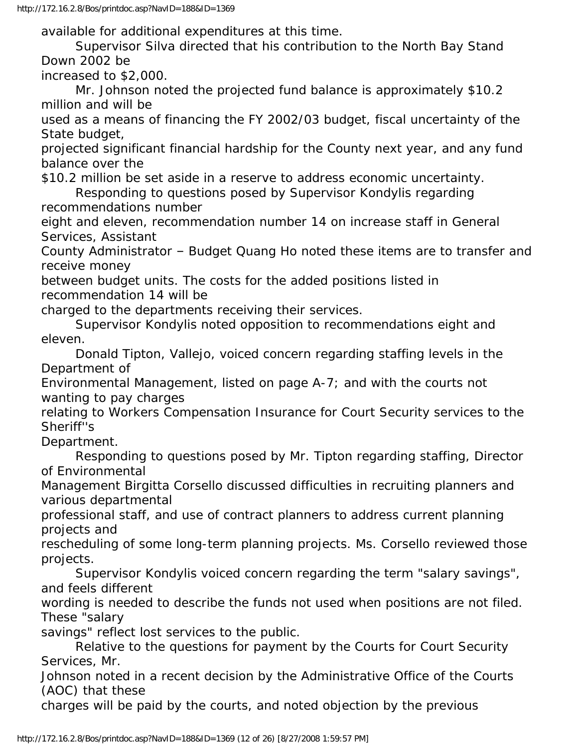http://172.16.2.8/Bos/printdoc.asp?NavID=188&ID=1369

available for additional expenditures at this time.

 Supervisor Silva directed that his contribution to the North Bay Stand Down 2002 be

increased to \$2,000.

 Mr. Johnson noted the projected fund balance is approximately \$10.2 million and will be

used as a means of financing the FY 2002/03 budget, fiscal uncertainty of the State budget,

projected significant financial hardship for the County next year, and any fund balance over the

\$10.2 million be set aside in a reserve to address economic uncertainty.

 Responding to questions posed by Supervisor Kondylis regarding recommendations number

eight and eleven, recommendation number 14 on increase staff in General Services, Assistant

County Administrator – Budget Quang Ho noted these items are to transfer and receive money

between budget units. The costs for the added positions listed in recommendation 14 will be

charged to the departments receiving their services.

 Supervisor Kondylis noted opposition to recommendations eight and eleven.

 Donald Tipton, Vallejo, voiced concern regarding staffing levels in the Department of

Environmental Management, listed on page A-7; and with the courts not wanting to pay charges

relating to Workers Compensation Insurance for Court Security services to the Sheriff''s

Department.

 Responding to questions posed by Mr. Tipton regarding staffing, Director of Environmental

Management Birgitta Corsello discussed difficulties in recruiting planners and various departmental

professional staff, and use of contract planners to address current planning projects and

rescheduling of some long-term planning projects. Ms. Corsello reviewed those projects.

 Supervisor Kondylis voiced concern regarding the term "salary savings", and feels different

wording is needed to describe the funds not used when positions are not filed. These "salary

savings" reflect lost services to the public.

 Relative to the questions for payment by the Courts for Court Security Services, Mr.

Johnson noted in a recent decision by the Administrative Office of the Courts (AOC) that these

charges will be paid by the courts, and noted objection by the previous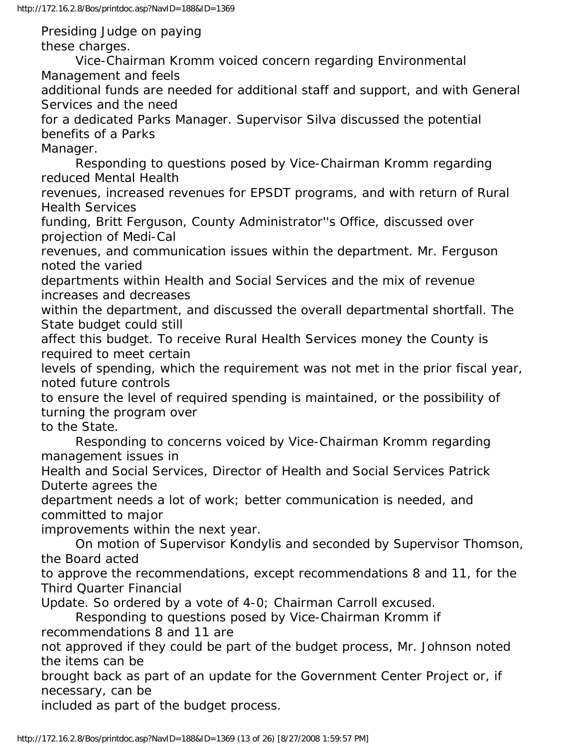Presiding Judge on paying these charges.

 Vice-Chairman Kromm voiced concern regarding Environmental Management and feels

additional funds are needed for additional staff and support, and with General Services and the need

for a dedicated Parks Manager. Supervisor Silva discussed the potential benefits of a Parks

Manager.

 Responding to questions posed by Vice-Chairman Kromm regarding reduced Mental Health

revenues, increased revenues for EPSDT programs, and with return of Rural Health Services

funding, Britt Ferguson, County Administrator''s Office, discussed over projection of Medi-Cal

revenues, and communication issues within the department. Mr. Ferguson noted the varied

departments within Health and Social Services and the mix of revenue increases and decreases

within the department, and discussed the overall departmental shortfall. The State budget could still

affect this budget. To receive Rural Health Services money the County is required to meet certain

levels of spending, which the requirement was not met in the prior fiscal year, noted future controls

to ensure the level of required spending is maintained, or the possibility of turning the program over

to the State.

 Responding to concerns voiced by Vice-Chairman Kromm regarding management issues in

Health and Social Services, Director of Health and Social Services Patrick Duterte agrees the

department needs a lot of work; better communication is needed, and committed to major

improvements within the next year.

 On motion of Supervisor Kondylis and seconded by Supervisor Thomson, the Board acted

to approve the recommendations, except recommendations 8 and 11, for the Third Quarter Financial

Update. So ordered by a vote of 4-0; Chairman Carroll excused.

 Responding to questions posed by Vice-Chairman Kromm if recommendations 8 and 11 are

not approved if they could be part of the budget process, Mr. Johnson noted the items can be

brought back as part of an update for the Government Center Project or, if necessary, can be

included as part of the budget process.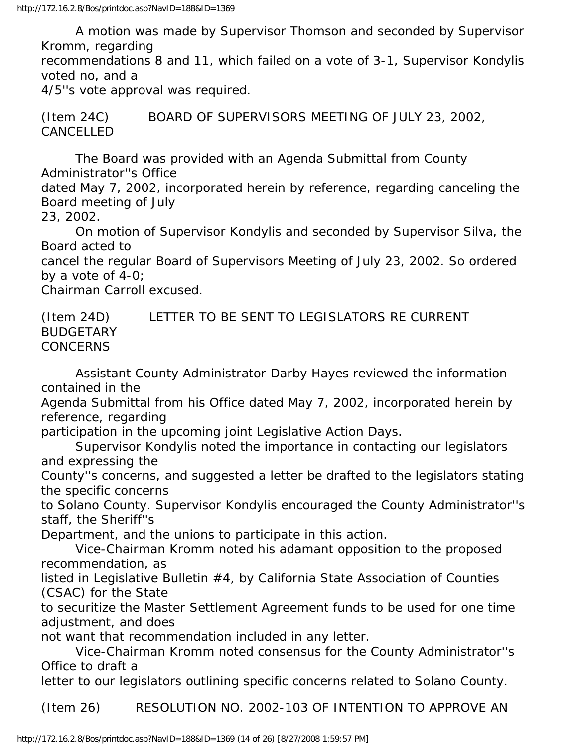A motion was made by Supervisor Thomson and seconded by Supervisor Kromm, regarding

recommendations 8 and 11, which failed on a vote of 3-1, Supervisor Kondylis voted no, and a

4/5''s vote approval was required.

(Item 24C) BOARD OF SUPERVISORS MEETING OF JULY 23, 2002, CANCELLED

 The Board was provided with an Agenda Submittal from County Administrator''s Office

dated May 7, 2002, incorporated herein by reference, regarding canceling the Board meeting of July

23, 2002.

 On motion of Supervisor Kondylis and seconded by Supervisor Silva, the Board acted to

cancel the regular Board of Supervisors Meeting of July 23, 2002. So ordered by a vote of 4-0;

Chairman Carroll excused.

(Item 24D) LETTER TO BE SENT TO LEGISLATORS RE CURRENT BUDGETARY CONCERNS

 Assistant County Administrator Darby Hayes reviewed the information contained in the

Agenda Submittal from his Office dated May 7, 2002, incorporated herein by reference, regarding

participation in the upcoming joint Legislative Action Days.

 Supervisor Kondylis noted the importance in contacting our legislators and expressing the

County''s concerns, and suggested a letter be drafted to the legislators stating the specific concerns

to Solano County. Supervisor Kondylis encouraged the County Administrator''s staff, the Sheriff''s

Department, and the unions to participate in this action.

 Vice-Chairman Kromm noted his adamant opposition to the proposed recommendation, as

listed in Legislative Bulletin #4, by California State Association of Counties (CSAC) for the State

to securitize the Master Settlement Agreement funds to be used for one time adjustment, and does

not want that recommendation included in any letter.

 Vice-Chairman Kromm noted consensus for the County Administrator''s Office to draft a

letter to our legislators outlining specific concerns related to Solano County.

(Item 26) RESOLUTION NO. 2002-103 OF INTENTION TO APPROVE AN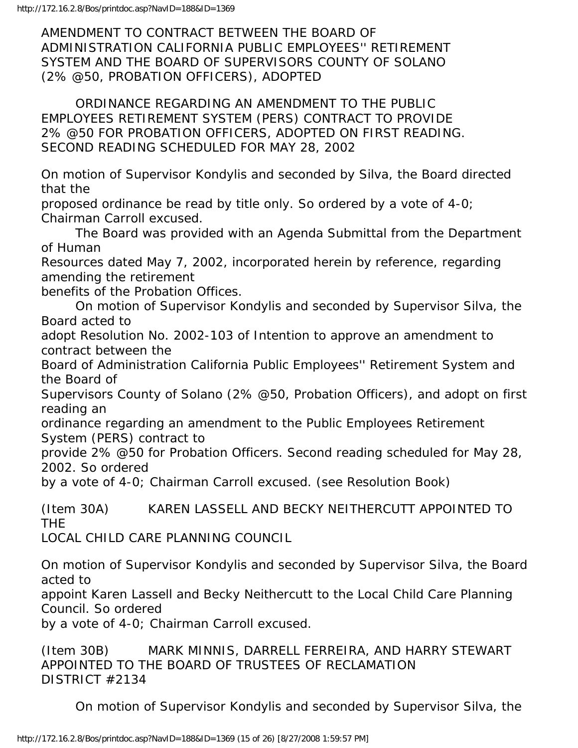AMENDMENT TO CONTRACT BETWEEN THE BOARD OF ADMINISTRATION CALIFORNIA PUBLIC EMPLOYEES'' RETIREMENT SYSTEM AND THE BOARD OF SUPERVISORS COUNTY OF SOLANO (2% @50, PROBATION OFFICERS), ADOPTED

 ORDINANCE REGARDING AN AMENDMENT TO THE PUBLIC EMPLOYEES RETIREMENT SYSTEM (PERS) CONTRACT TO PROVIDE 2% @50 FOR PROBATION OFFICERS, ADOPTED ON FIRST READING. SECOND READING SCHEDULED FOR MAY 28, 2002

On motion of Supervisor Kondylis and seconded by Silva, the Board directed that the

proposed ordinance be read by title only. So ordered by a vote of 4-0; Chairman Carroll excused.

 The Board was provided with an Agenda Submittal from the Department of Human

Resources dated May 7, 2002, incorporated herein by reference, regarding amending the retirement

benefits of the Probation Offices.

 On motion of Supervisor Kondylis and seconded by Supervisor Silva, the Board acted to

adopt Resolution No. 2002-103 of Intention to approve an amendment to contract between the

Board of Administration California Public Employees'' Retirement System and the Board of

Supervisors County of Solano (2% @50, Probation Officers), and adopt on first reading an

ordinance regarding an amendment to the Public Employees Retirement System (PERS) contract to

provide 2% @50 for Probation Officers. Second reading scheduled for May 28, 2002. So ordered

by a vote of 4-0; Chairman Carroll excused. (see Resolution Book)

(Item 30A) KAREN LASSELL AND BECKY NEITHERCUTT APPOINTED TO THE

LOCAL CHILD CARE PLANNING COUNCIL

On motion of Supervisor Kondylis and seconded by Supervisor Silva, the Board acted to

appoint Karen Lassell and Becky Neithercutt to the Local Child Care Planning Council. So ordered

by a vote of 4-0; Chairman Carroll excused.

(Item 30B) MARK MINNIS, DARRELL FERREIRA, AND HARRY STEWART APPOINTED TO THE BOARD OF TRUSTEES OF RECLAMATION DISTRICT #2134

On motion of Supervisor Kondylis and seconded by Supervisor Silva, the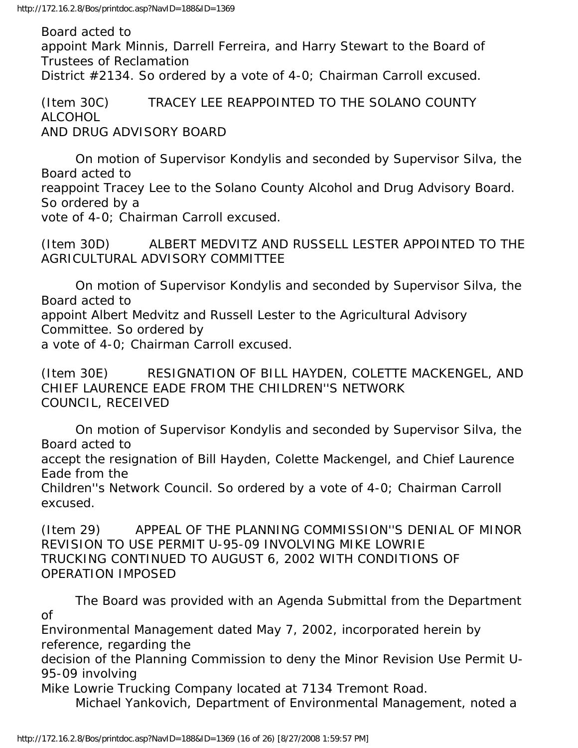Board acted to appoint Mark Minnis, Darrell Ferreira, and Harry Stewart to the Board of Trustees of Reclamation District #2134. So ordered by a vote of 4-0; Chairman Carroll excused.

(Item 30C) TRACEY LEE REAPPOINTED TO THE SOLANO COUNTY ALCOHOL AND DRUG ADVISORY BOARD

 On motion of Supervisor Kondylis and seconded by Supervisor Silva, the Board acted to reappoint Tracey Lee to the Solano County Alcohol and Drug Advisory Board. So ordered by a vote of 4-0; Chairman Carroll excused.

(Item 30D) ALBERT MEDVITZ AND RUSSELL LESTER APPOINTED TO THE AGRICULTURAL ADVISORY COMMITTEE

 On motion of Supervisor Kondylis and seconded by Supervisor Silva, the Board acted to appoint Albert Medvitz and Russell Lester to the Agricultural Advisory Committee. So ordered by a vote of 4-0; Chairman Carroll excused.

(Item 30E) RESIGNATION OF BILL HAYDEN, COLETTE MACKENGEL, AND CHIEF LAURENCE EADE FROM THE CHILDREN''S NETWORK COUNCIL, RECEIVED

 On motion of Supervisor Kondylis and seconded by Supervisor Silva, the Board acted to

accept the resignation of Bill Hayden, Colette Mackengel, and Chief Laurence Eade from the

Children''s Network Council. So ordered by a vote of 4-0; Chairman Carroll excused.

(Item 29) APPEAL OF THE PLANNING COMMISSION''S DENIAL OF MINOR REVISION TO USE PERMIT U-95-09 INVOLVING MIKE LOWRIE TRUCKING CONTINUED TO AUGUST 6, 2002 WITH CONDITIONS OF OPERATION IMPOSED

 The Board was provided with an Agenda Submittal from the Department of

Environmental Management dated May 7, 2002, incorporated herein by reference, regarding the

decision of the Planning Commission to deny the Minor Revision Use Permit U-95-09 involving

Mike Lowrie Trucking Company located at 7134 Tremont Road.

Michael Yankovich, Department of Environmental Management, noted a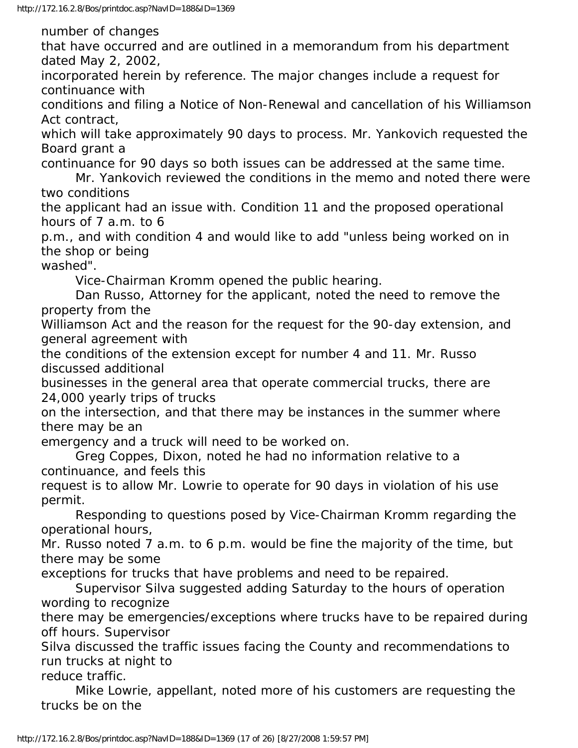number of changes

that have occurred and are outlined in a memorandum from his department dated May 2, 2002,

incorporated herein by reference. The major changes include a request for continuance with

conditions and filing a Notice of Non-Renewal and cancellation of his Williamson Act contract,

which will take approximately 90 days to process. Mr. Yankovich requested the Board grant a

continuance for 90 days so both issues can be addressed at the same time.

 Mr. Yankovich reviewed the conditions in the memo and noted there were two conditions

the applicant had an issue with. Condition 11 and the proposed operational hours of 7 a.m. to 6

p.m., and with condition 4 and would like to add "unless being worked on in the shop or being

washed".

Vice-Chairman Kromm opened the public hearing.

 Dan Russo, Attorney for the applicant, noted the need to remove the property from the

Williamson Act and the reason for the request for the 90-day extension, and general agreement with

the conditions of the extension except for number 4 and 11. Mr. Russo discussed additional

businesses in the general area that operate commercial trucks, there are 24,000 yearly trips of trucks

on the intersection, and that there may be instances in the summer where there may be an

emergency and a truck will need to be worked on.

 Greg Coppes, Dixon, noted he had no information relative to a continuance, and feels this

request is to allow Mr. Lowrie to operate for 90 days in violation of his use permit.

 Responding to questions posed by Vice-Chairman Kromm regarding the operational hours,

Mr. Russo noted 7 a.m. to 6 p.m. would be fine the majority of the time, but there may be some

exceptions for trucks that have problems and need to be repaired.

 Supervisor Silva suggested adding Saturday to the hours of operation wording to recognize

there may be emergencies/exceptions where trucks have to be repaired during off hours. Supervisor

Silva discussed the traffic issues facing the County and recommendations to run trucks at night to

reduce traffic.

 Mike Lowrie, appellant, noted more of his customers are requesting the trucks be on the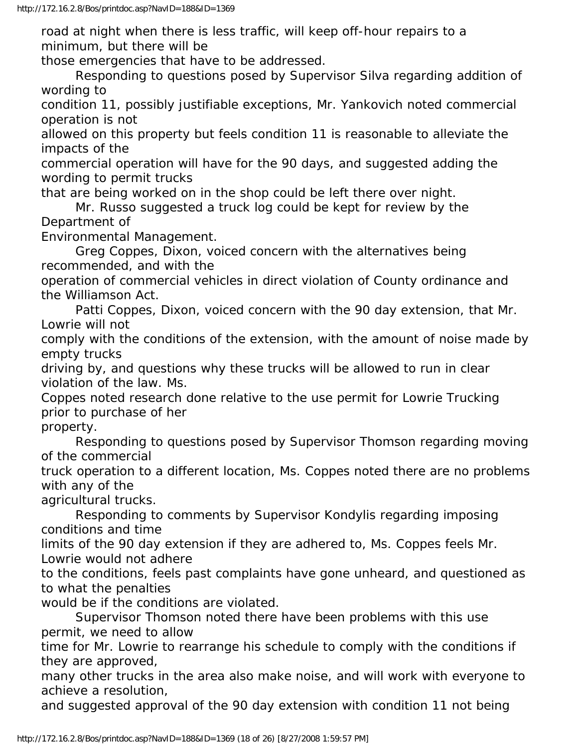road at night when there is less traffic, will keep off-hour repairs to a minimum, but there will be

those emergencies that have to be addressed.

 Responding to questions posed by Supervisor Silva regarding addition of wording to

condition 11, possibly justifiable exceptions, Mr. Yankovich noted commercial operation is not

allowed on this property but feels condition 11 is reasonable to alleviate the impacts of the

commercial operation will have for the 90 days, and suggested adding the wording to permit trucks

that are being worked on in the shop could be left there over night.

 Mr. Russo suggested a truck log could be kept for review by the Department of

Environmental Management.

 Greg Coppes, Dixon, voiced concern with the alternatives being recommended, and with the

operation of commercial vehicles in direct violation of County ordinance and the Williamson Act.

 Patti Coppes, Dixon, voiced concern with the 90 day extension, that Mr. Lowrie will not

comply with the conditions of the extension, with the amount of noise made by empty trucks

driving by, and questions why these trucks will be allowed to run in clear violation of the law. Ms.

Coppes noted research done relative to the use permit for Lowrie Trucking prior to purchase of her

property.

 Responding to questions posed by Supervisor Thomson regarding moving of the commercial

truck operation to a different location, Ms. Coppes noted there are no problems with any of the

agricultural trucks.

 Responding to comments by Supervisor Kondylis regarding imposing conditions and time

limits of the 90 day extension if they are adhered to, Ms. Coppes feels Mr. Lowrie would not adhere

to the conditions, feels past complaints have gone unheard, and questioned as to what the penalties

would be if the conditions are violated.

 Supervisor Thomson noted there have been problems with this use permit, we need to allow

time for Mr. Lowrie to rearrange his schedule to comply with the conditions if they are approved,

many other trucks in the area also make noise, and will work with everyone to achieve a resolution,

and suggested approval of the 90 day extension with condition 11 not being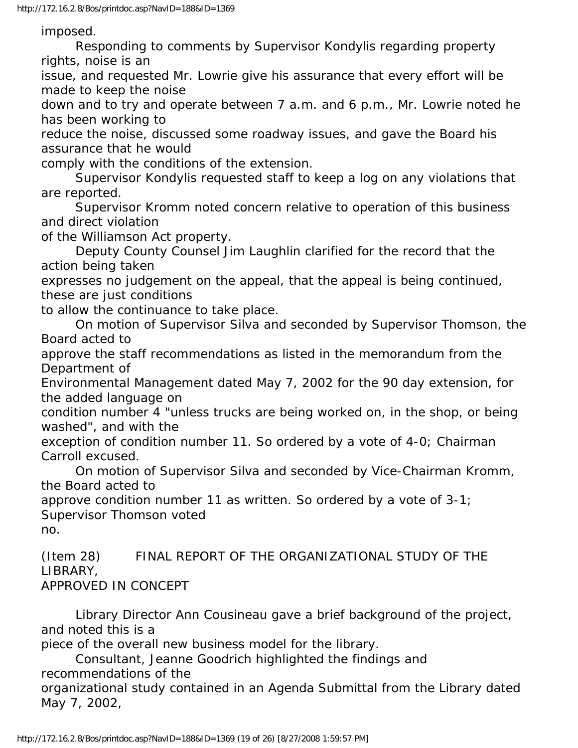imposed.

 Responding to comments by Supervisor Kondylis regarding property rights, noise is an

issue, and requested Mr. Lowrie give his assurance that every effort will be made to keep the noise

down and to try and operate between 7 a.m. and 6 p.m., Mr. Lowrie noted he has been working to

reduce the noise, discussed some roadway issues, and gave the Board his assurance that he would

comply with the conditions of the extension.

 Supervisor Kondylis requested staff to keep a log on any violations that are reported.

 Supervisor Kromm noted concern relative to operation of this business and direct violation

of the Williamson Act property.

 Deputy County Counsel Jim Laughlin clarified for the record that the action being taken

expresses no judgement on the appeal, that the appeal is being continued, these are just conditions

to allow the continuance to take place.

 On motion of Supervisor Silva and seconded by Supervisor Thomson, the Board acted to

approve the staff recommendations as listed in the memorandum from the Department of

Environmental Management dated May 7, 2002 for the 90 day extension, for the added language on

condition number 4 "unless trucks are being worked on, in the shop, or being washed", and with the

exception of condition number 11. So ordered by a vote of 4-0; Chairman Carroll excused.

 On motion of Supervisor Silva and seconded by Vice-Chairman Kromm, the Board acted to

approve condition number 11 as written. So ordered by a vote of 3-1; Supervisor Thomson voted

no.

(Item 28) FINAL REPORT OF THE ORGANIZATIONAL STUDY OF THE LIBRARY, APPROVED IN CONCEPT

 Library Director Ann Cousineau gave a brief background of the project, and noted this is a

piece of the overall new business model for the library.

 Consultant, Jeanne Goodrich highlighted the findings and recommendations of the

organizational study contained in an Agenda Submittal from the Library dated May 7, 2002,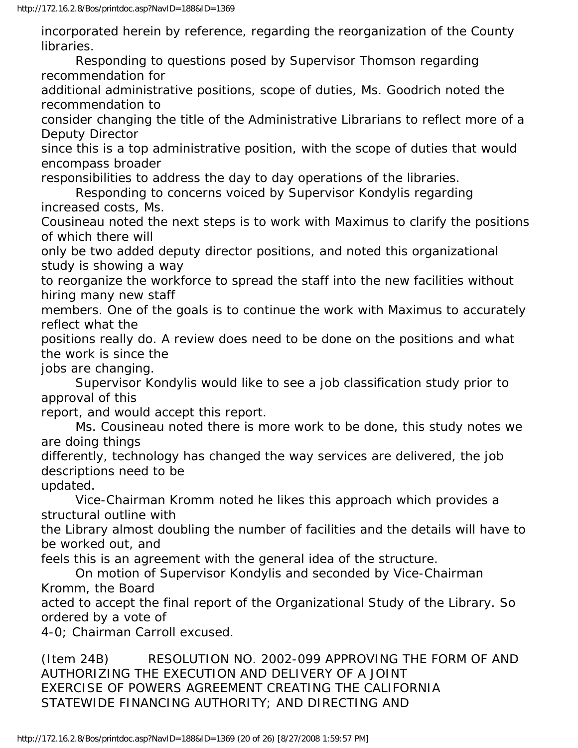incorporated herein by reference, regarding the reorganization of the County libraries.

 Responding to questions posed by Supervisor Thomson regarding recommendation for

additional administrative positions, scope of duties, Ms. Goodrich noted the recommendation to

consider changing the title of the Administrative Librarians to reflect more of a Deputy Director

since this is a top administrative position, with the scope of duties that would encompass broader

responsibilities to address the day to day operations of the libraries.

 Responding to concerns voiced by Supervisor Kondylis regarding increased costs, Ms.

Cousineau noted the next steps is to work with Maximus to clarify the positions of which there will

only be two added deputy director positions, and noted this organizational study is showing a way

to reorganize the workforce to spread the staff into the new facilities without hiring many new staff

members. One of the goals is to continue the work with Maximus to accurately reflect what the

positions really do. A review does need to be done on the positions and what the work is since the

jobs are changing.

 Supervisor Kondylis would like to see a job classification study prior to approval of this

report, and would accept this report.

 Ms. Cousineau noted there is more work to be done, this study notes we are doing things

differently, technology has changed the way services are delivered, the job descriptions need to be

updated.

 Vice-Chairman Kromm noted he likes this approach which provides a structural outline with

the Library almost doubling the number of facilities and the details will have to be worked out, and

feels this is an agreement with the general idea of the structure.

 On motion of Supervisor Kondylis and seconded by Vice-Chairman Kromm, the Board

acted to accept the final report of the Organizational Study of the Library. So ordered by a vote of

4-0; Chairman Carroll excused.

(Item 24B) RESOLUTION NO. 2002-099 APPROVING THE FORM OF AND AUTHORIZING THE EXECUTION AND DELIVERY OF A JOINT EXERCISE OF POWERS AGREEMENT CREATING THE CALIFORNIA STATEWIDE FINANCING AUTHORITY; AND DIRECTING AND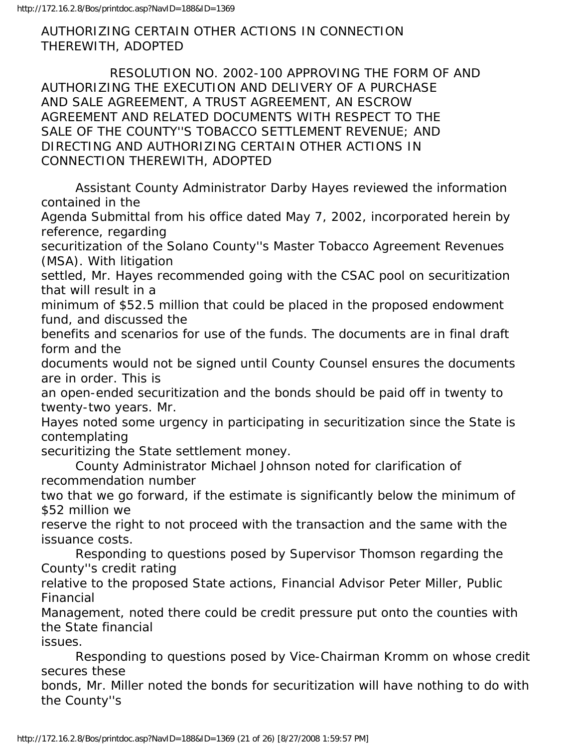AUTHORIZING CERTAIN OTHER ACTIONS IN CONNECTION THEREWITH, ADOPTED

 RESOLUTION NO. 2002-100 APPROVING THE FORM OF AND AUTHORIZING THE EXECUTION AND DELIVERY OF A PURCHASE AND SALE AGREEMENT, A TRUST AGREEMENT, AN ESCROW AGREEMENT AND RELATED DOCUMENTS WITH RESPECT TO THE SALE OF THE COUNTY''S TOBACCO SETTLEMENT REVENUE; AND DIRECTING AND AUTHORIZING CERTAIN OTHER ACTIONS IN CONNECTION THEREWITH, ADOPTED

 Assistant County Administrator Darby Hayes reviewed the information contained in the

Agenda Submittal from his office dated May 7, 2002, incorporated herein by reference, regarding

securitization of the Solano County''s Master Tobacco Agreement Revenues (MSA). With litigation

settled, Mr. Hayes recommended going with the CSAC pool on securitization that will result in a

minimum of \$52.5 million that could be placed in the proposed endowment fund, and discussed the

benefits and scenarios for use of the funds. The documents are in final draft form and the

documents would not be signed until County Counsel ensures the documents are in order. This is

an open-ended securitization and the bonds should be paid off in twenty to twenty-two years. Mr.

Hayes noted some urgency in participating in securitization since the State is contemplating

securitizing the State settlement money.

 County Administrator Michael Johnson noted for clarification of recommendation number

two that we go forward, if the estimate is significantly below the minimum of \$52 million we

reserve the right to not proceed with the transaction and the same with the issuance costs.

 Responding to questions posed by Supervisor Thomson regarding the County''s credit rating

relative to the proposed State actions, Financial Advisor Peter Miller, Public Financial

Management, noted there could be credit pressure put onto the counties with the State financial

issues.

 Responding to questions posed by Vice-Chairman Kromm on whose credit secures these

bonds, Mr. Miller noted the bonds for securitization will have nothing to do with the County''s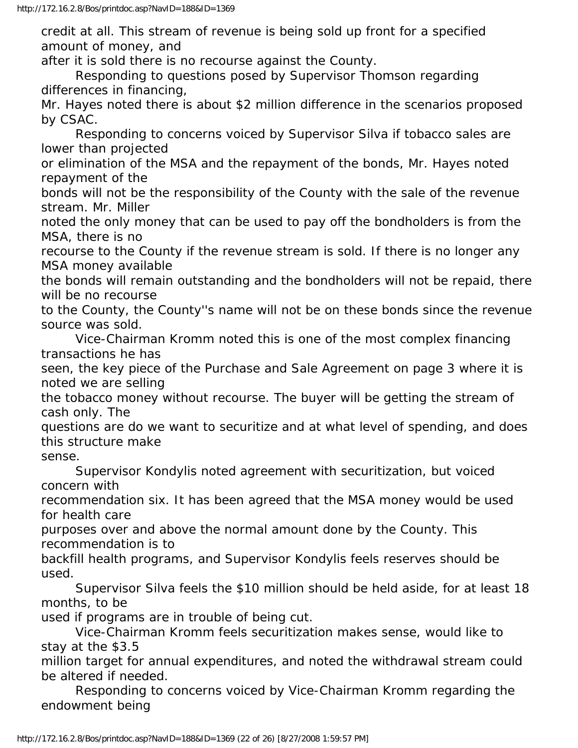credit at all. This stream of revenue is being sold up front for a specified amount of money, and

after it is sold there is no recourse against the County.

 Responding to questions posed by Supervisor Thomson regarding differences in financing,

Mr. Hayes noted there is about \$2 million difference in the scenarios proposed by CSAC.

 Responding to concerns voiced by Supervisor Silva if tobacco sales are lower than projected

or elimination of the MSA and the repayment of the bonds, Mr. Hayes noted repayment of the

bonds will not be the responsibility of the County with the sale of the revenue stream. Mr. Miller

noted the only money that can be used to pay off the bondholders is from the MSA, there is no

recourse to the County if the revenue stream is sold. If there is no longer any MSA money available

the bonds will remain outstanding and the bondholders will not be repaid, there will be no recourse

to the County, the County''s name will not be on these bonds since the revenue source was sold.

 Vice-Chairman Kromm noted this is one of the most complex financing transactions he has

seen, the key piece of the Purchase and Sale Agreement on page 3 where it is noted we are selling

the tobacco money without recourse. The buyer will be getting the stream of cash only. The

questions are do we want to securitize and at what level of spending, and does this structure make

sense.

 Supervisor Kondylis noted agreement with securitization, but voiced concern with

recommendation six. It has been agreed that the MSA money would be used for health care

purposes over and above the normal amount done by the County. This recommendation is to

backfill health programs, and Supervisor Kondylis feels reserves should be used.

 Supervisor Silva feels the \$10 million should be held aside, for at least 18 months, to be

used if programs are in trouble of being cut.

 Vice-Chairman Kromm feels securitization makes sense, would like to stay at the \$3.5

million target for annual expenditures, and noted the withdrawal stream could be altered if needed.

 Responding to concerns voiced by Vice-Chairman Kromm regarding the endowment being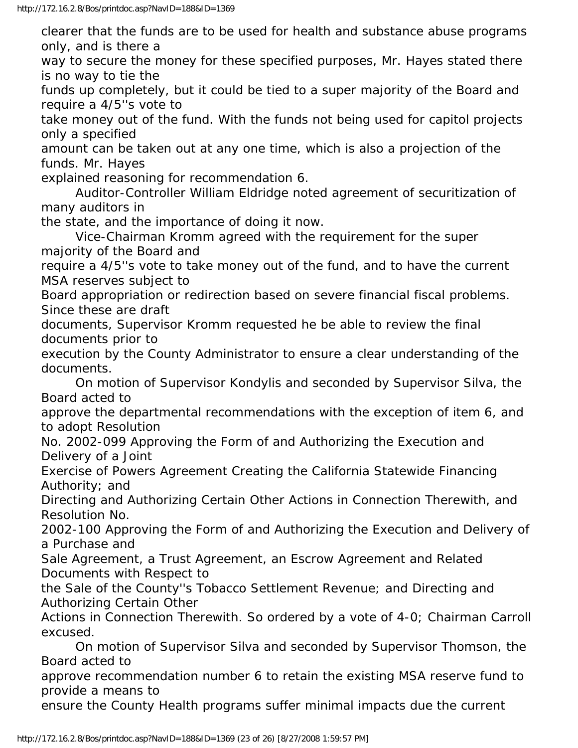clearer that the funds are to be used for health and substance abuse programs only, and is there a

way to secure the money for these specified purposes, Mr. Hayes stated there is no way to tie the

funds up completely, but it could be tied to a super majority of the Board and require a 4/5''s vote to

take money out of the fund. With the funds not being used for capitol projects only a specified

amount can be taken out at any one time, which is also a projection of the funds. Mr. Hayes

explained reasoning for recommendation 6.

 Auditor-Controller William Eldridge noted agreement of securitization of many auditors in

the state, and the importance of doing it now.

 Vice-Chairman Kromm agreed with the requirement for the super majority of the Board and

require a 4/5''s vote to take money out of the fund, and to have the current MSA reserves subject to

Board appropriation or redirection based on severe financial fiscal problems. Since these are draft

documents, Supervisor Kromm requested he be able to review the final documents prior to

execution by the County Administrator to ensure a clear understanding of the documents.

 On motion of Supervisor Kondylis and seconded by Supervisor Silva, the Board acted to

approve the departmental recommendations with the exception of item 6, and to adopt Resolution

No. 2002-099 Approving the Form of and Authorizing the Execution and Delivery of a Joint

Exercise of Powers Agreement Creating the California Statewide Financing Authority; and

Directing and Authorizing Certain Other Actions in Connection Therewith, and Resolution No.

2002-100 Approving the Form of and Authorizing the Execution and Delivery of a Purchase and

Sale Agreement, a Trust Agreement, an Escrow Agreement and Related Documents with Respect to

the Sale of the County''s Tobacco Settlement Revenue; and Directing and Authorizing Certain Other

Actions in Connection Therewith. So ordered by a vote of 4-0; Chairman Carroll excused.

 On motion of Supervisor Silva and seconded by Supervisor Thomson, the Board acted to

approve recommendation number 6 to retain the existing MSA reserve fund to provide a means to

ensure the County Health programs suffer minimal impacts due the current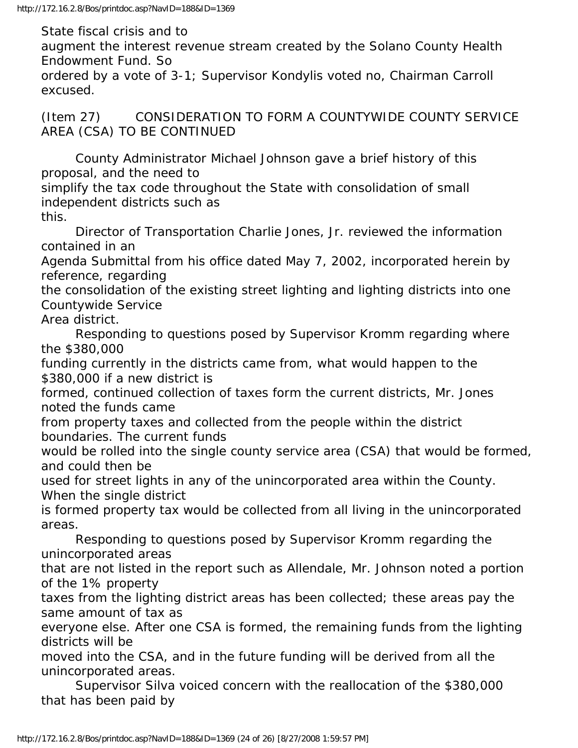State fiscal crisis and to

augment the interest revenue stream created by the Solano County Health Endowment Fund. So

ordered by a vote of 3-1; Supervisor Kondylis voted no, Chairman Carroll excused.

(Item 27) CONSIDERATION TO FORM A COUNTYWIDE COUNTY SERVICE AREA (CSA) TO BE CONTINUED

 County Administrator Michael Johnson gave a brief history of this proposal, and the need to

simplify the tax code throughout the State with consolidation of small independent districts such as

this.

 Director of Transportation Charlie Jones, Jr. reviewed the information contained in an

Agenda Submittal from his office dated May 7, 2002, incorporated herein by reference, regarding

the consolidation of the existing street lighting and lighting districts into one Countywide Service

Area district.

 Responding to questions posed by Supervisor Kromm regarding where the \$380,000

funding currently in the districts came from, what would happen to the \$380,000 if a new district is

formed, continued collection of taxes form the current districts, Mr. Jones noted the funds came

from property taxes and collected from the people within the district boundaries. The current funds

would be rolled into the single county service area (CSA) that would be formed, and could then be

used for street lights in any of the unincorporated area within the County. When the single district

is formed property tax would be collected from all living in the unincorporated areas.

 Responding to questions posed by Supervisor Kromm regarding the unincorporated areas

that are not listed in the report such as Allendale, Mr. Johnson noted a portion of the 1% property

taxes from the lighting district areas has been collected; these areas pay the same amount of tax as

everyone else. After one CSA is formed, the remaining funds from the lighting districts will be

moved into the CSA, and in the future funding will be derived from all the unincorporated areas.

 Supervisor Silva voiced concern with the reallocation of the \$380,000 that has been paid by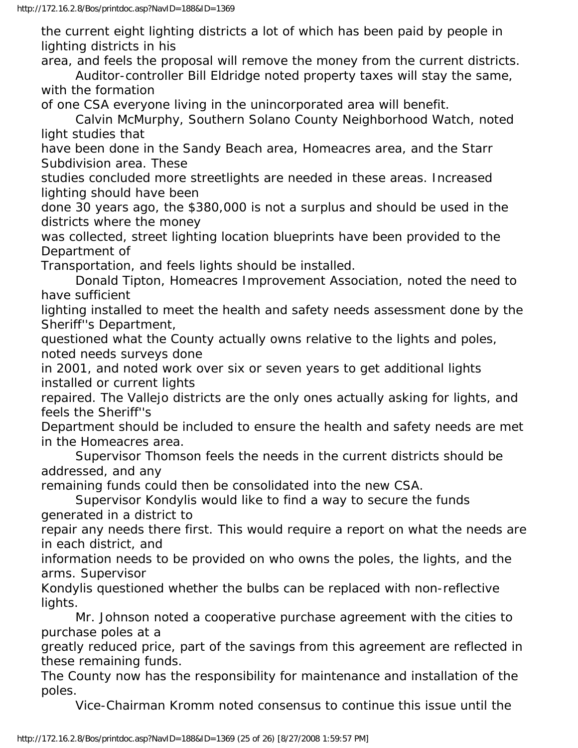the current eight lighting districts a lot of which has been paid by people in lighting districts in his

area, and feels the proposal will remove the money from the current districts. Auditor-controller Bill Eldridge noted property taxes will stay the same, with the formation

of one CSA everyone living in the unincorporated area will benefit.

 Calvin McMurphy, Southern Solano County Neighborhood Watch, noted light studies that

have been done in the Sandy Beach area, Homeacres area, and the Starr Subdivision area. These

studies concluded more streetlights are needed in these areas. Increased lighting should have been

done 30 years ago, the \$380,000 is not a surplus and should be used in the districts where the money

was collected, street lighting location blueprints have been provided to the Department of

Transportation, and feels lights should be installed.

 Donald Tipton, Homeacres Improvement Association, noted the need to have sufficient

lighting installed to meet the health and safety needs assessment done by the Sheriff''s Department,

questioned what the County actually owns relative to the lights and poles, noted needs surveys done

in 2001, and noted work over six or seven years to get additional lights installed or current lights

repaired. The Vallejo districts are the only ones actually asking for lights, and feels the Sheriff''s

Department should be included to ensure the health and safety needs are met in the Homeacres area.

 Supervisor Thomson feels the needs in the current districts should be addressed, and any

remaining funds could then be consolidated into the new CSA.

 Supervisor Kondylis would like to find a way to secure the funds generated in a district to

repair any needs there first. This would require a report on what the needs are in each district, and

information needs to be provided on who owns the poles, the lights, and the arms. Supervisor

Kondylis questioned whether the bulbs can be replaced with non-reflective lights.

 Mr. Johnson noted a cooperative purchase agreement with the cities to purchase poles at a

greatly reduced price, part of the savings from this agreement are reflected in these remaining funds.

The County now has the responsibility for maintenance and installation of the poles.

Vice-Chairman Kromm noted consensus to continue this issue until the